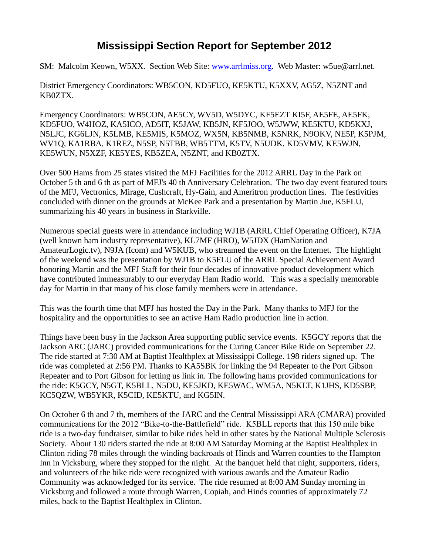## **Mississippi Section Report for September 2012**

SM: Malcolm Keown, W5XX. Section Web Site: [www.arrlmiss.org.](http://www.arrlmiss.org/) Web Master: w5ue@arrl.net.

District Emergency Coordinators: WB5CON, KD5FUO, KE5KTU, K5XXV, AG5Z, N5ZNT and KB0ZTX.

Emergency Coordinators: WB5CON, AE5CY, WV5D, W5DYC, KF5EZT KI5F, AE5FE, AE5FK, KD5FUO, W4HOZ, KA5ICO, AD5IT, K5JAW, KB5JN, KF5JOO, W5JWW, KE5KTU, KD5KXJ, N5LJC, KG6LJN, K5LMB, KE5MIS, K5MOZ, WX5N, KB5NMB, K5NRK, N9OKV, NE5P, K5PJM, WV1Q, KA1RBA, K1REZ, N5SP, N5TBB, WB5TTM, K5TV, N5UDK, KD5VMV, KE5WJN, KE5WUN, N5XZF, KE5YES, KB5ZEA, N5ZNT, and KB0ZTX.

Over 500 Hams from 25 states visited the MFJ Facilities for the 2012 ARRL Day in the Park on October 5 th and 6 th as part of MFJ's 40 th Anniversary Celebration. The two day event featured tours of the MFJ, Vectronics, Mirage, Cushcraft, Hy-Gain, and Ameritron production lines. The festivities concluded with dinner on the grounds at McKee Park and a presentation by Martin Jue, K5FLU, summarizing his 40 years in business in Starkville.

Numerous special guests were in attendance including WJ1B (ARRL Chief Operating Officer), K7JA (well known ham industry representative), KL7MF (HRO), W5JDX (HamNation and AmateurLogic.tv), N9JA (Icom) and W5KUB, who streamed the event on the Internet. The highlight of the weekend was the presentation by WJ1B to K5FLU of the ARRL Special Achievement Award honoring Martin and the MFJ Staff for their four decades of innovative product development which have contributed immeasurably to our everyday Ham Radio world. This was a specially memorable day for Martin in that many of his close family members were in attendance.

This was the fourth time that MFJ has hosted the Day in the Park. Many thanks to MFJ for the hospitality and the opportunities to see an active Ham Radio production line in action.

Things have been busy in the Jackson Area supporting public service events. K5GCY reports that the Jackson ARC (JARC) provided communications for the Curing Cancer Bike Ride on September 22. The ride started at 7:30 AM at Baptist Healthplex at Mississippi College. 198 riders signed up. The ride was completed at 2:56 PM. Thanks to KA5SBK for linking the 94 Repeater to the Port Gibson Repeater and to Port Gibson for letting us link in. The following hams provided communications for the ride: K5GCY, N5GT, K5BLL, N5DU, KE5JKD, KE5WAC, WM5A, N5KLT, K1JHS, KD5SBP, KC5QZW, WB5YKR, K5CID, KE5KTU, and KG5IN.

On October 6 th and 7 th, members of the JARC and the Central Mississippi ARA (CMARA) provided communications for the 2012 "Bike-to-the-Battlefield" ride. K5BLL reports that this 150 mile bike ride is a two-day fundraiser, similar to bike rides held in other states by the National Multiple Sclerosis Society. About 130 riders started the ride at 8:00 AM Saturday Morning at the Baptist Healthplex in Clinton riding 78 miles through the winding backroads of Hinds and Warren counties to the Hampton Inn in Vicksburg, where they stopped for the night. At the banquet held that night, supporters, riders, and volunteers of the bike ride were recognized with various awards and the Amateur Radio Community was acknowledged for its service. The ride resumed at 8:00 AM Sunday morning in Vicksburg and followed a route through Warren, Copiah, and Hinds counties of approximately 72 miles, back to the Baptist Healthplex in Clinton.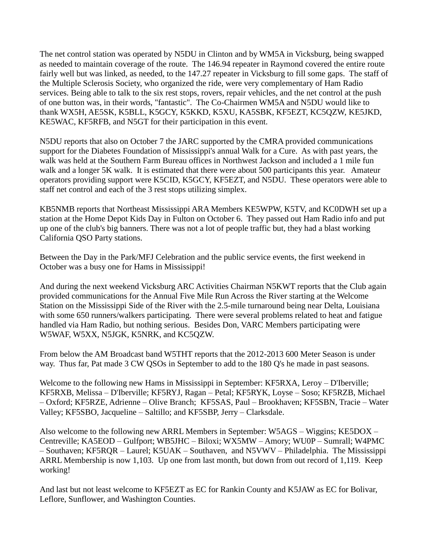The net control station was operated by N5DU in Clinton and by WM5A in Vicksburg, being swapped as needed to maintain coverage of the route. The 146.94 repeater in Raymond covered the entire route fairly well but was linked, as needed, to the 147.27 repeater in Vicksburg to fill some gaps. The staff of the Multiple Sclerosis Society, who organized the ride, were very complementary of Ham Radio services. Being able to talk to the six rest stops, rovers, repair vehicles, and the net control at the push of one button was, in their words, "fantastic". The Co-Chairmen WM5A and N5DU would like to thank WX5H, AE5SK, K5BLL, K5GCY, K5KKD, K5XU, KA5SBK, KF5EZT, KC5QZW, KE5JKD, KE5WAC, KF5RFB, and N5GT for their participation in this event.

N5DU reports that also on October 7 the JARC supported by the CMRA provided communications support for the Diabetes Foundation of Mississippi's annual Walk for a Cure. As with past years, the walk was held at the Southern Farm Bureau offices in Northwest Jackson and included a 1 mile fun walk and a longer 5K walk. It is estimated that there were about 500 participants this year. Amateur operators providing support were K5CID, K5GCY, KF5EZT, and N5DU. These operators were able to staff net control and each of the 3 rest stops utilizing simplex.

KB5NMB reports that Northeast Mississippi ARA Members KE5WPW, K5TV, and KC0DWH set up a station at the Home Depot Kids Day in Fulton on October 6. They passed out Ham Radio info and put up one of the club's big banners. There was not a lot of people traffic but, they had a blast working California QSO Party stations.

Between the Day in the Park/MFJ Celebration and the public service events, the first weekend in October was a busy one for Hams in Mississippi!

And during the next weekend Vicksburg ARC Activities Chairman N5KWT reports that the Club again provided communications for the Annual Five Mile Run Across the River starting at the Welcome Station on the Mississippi Side of the River with the 2.5-mile turnaround being near Delta, Louisiana with some 650 runners/walkers participating. There were several problems related to heat and fatigue handled via Ham Radio, but nothing serious. Besides Don, VARC Members participating were W5WAF, W5XX, N5JGK, K5NRK, and KC5QZW.

From below the AM Broadcast band W5THT reports that the 2012-2013 600 Meter Season is under way. Thus far, Pat made 3 CW QSOs in September to add to the 180 Q's he made in past seasons.

Welcome to the following new Hams in Mississippi in September: KF5RXA, Leroy – D'Iberville; KF5RXB, Melissa – D'Iberville; KF5RYJ, Ragan – Petal; KF5RYK, Loyse – Soso; KF5RZB, Michael – Oxford; KF5RZE, Adrienne – Olive Branch; KF5SAS, Paul – Brookhaven; KF5SBN, Tracie – Water Valley; KF5SBO, Jacqueline – Saltillo; and KF5SBP, Jerry – Clarksdale.

Also welcome to the following new ARRL Members in September: W5AGS – Wiggins; KE5DOX – Centreville; KA5EOD – Gulfport; WB5JHC – Biloxi; WX5MW – Amory; WU0P – Sumrall; W4PMC – Southaven; KF5RQR – Laurel; K5UAK – Southaven, and N5VWV – Philadelphia. The Mississippi ARRL Membership is now 1,103. Up one from last month, but down from out record of 1,119. Keep working!

And last but not least welcome to KF5EZT as EC for Rankin County and K5JAW as EC for Bolivar, Leflore, Sunflower, and Washington Counties.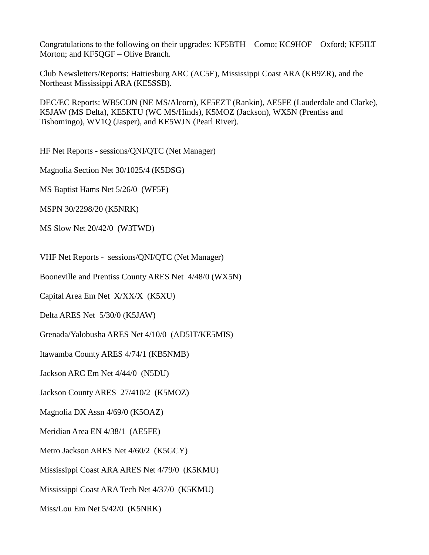Congratulations to the following on their upgrades: KF5BTH – Como; KC9HOF – Oxford; KF5ILT – Morton; and KF5QGF – Olive Branch.

Club Newsletters/Reports: Hattiesburg ARC (AC5E), Mississippi Coast ARA (KB9ZR), and the Northeast Mississippi ARA (KE5SSB).

DEC/EC Reports: WB5CON (NE MS/Alcorn), KF5EZT (Rankin), AE5FE (Lauderdale and Clarke), K5JAW (MS Delta), KE5KTU (WC MS/Hinds), K5MOZ (Jackson), WX5N (Prentiss and Tishomingo), WV1Q (Jasper), and KE5WJN (Pearl River).

HF Net Reports - sessions/QNI/QTC (Net Manager)

Magnolia Section Net 30/1025/4 (K5DSG)

MS Baptist Hams Net 5/26/0 (WF5F)

MSPN 30/2298/20 (K5NRK)

MS Slow Net 20/42/0 (W3TWD)

VHF Net Reports - sessions/QNI/QTC (Net Manager)

Booneville and Prentiss County ARES Net 4/48/0 (WX5N)

Capital Area Em Net X/XX/X (K5XU)

Delta ARES Net 5/30/0 (K5JAW)

Grenada/Yalobusha ARES Net 4/10/0 (AD5IT/KE5MIS)

Itawamba County ARES 4/74/1 (KB5NMB)

Jackson ARC Em Net 4/44/0 (N5DU)

Jackson County ARES 27/410/2 (K5MOZ)

Magnolia DX Assn 4/69/0 (K5OAZ)

Meridian Area EN 4/38/1 (AE5FE)

Metro Jackson ARES Net 4/60/2 (K5GCY)

Mississippi Coast ARA ARES Net 4/79/0 (K5KMU)

Mississippi Coast ARA Tech Net 4/37/0 (K5KMU)

Miss/Lou Em Net 5/42/0 (K5NRK)